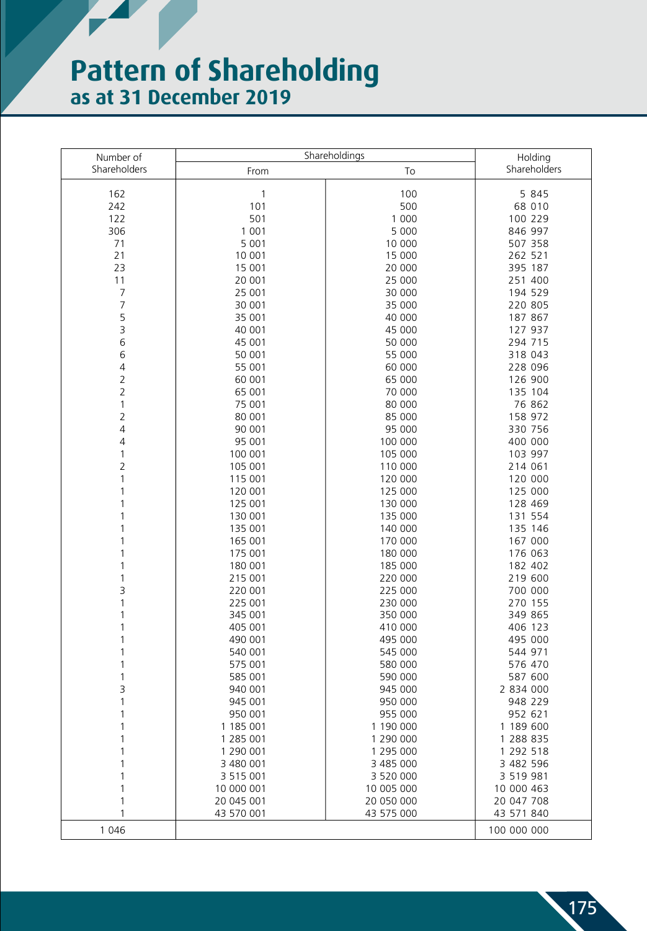## **Pattern of Shareholding as at 31 December 2019**

| Number of      | Shareholdings          |                        | Holding                |  |
|----------------|------------------------|------------------------|------------------------|--|
| Shareholders   | From                   | To                     | Shareholders           |  |
|                |                        |                        |                        |  |
| 162            | 1                      | 100                    | 5 8 4 5                |  |
| 242            | 101                    | 500                    | 68 010                 |  |
| 122            | 501                    | 1 0 0 0                | 100 229                |  |
| 306            | 1 0 0 1                | 5 0 0 0                | 846 997                |  |
| 71             | 5 0 0 1                | 10 000                 | 507 358                |  |
| 21             | 10 001                 | 15 000                 | 262 521                |  |
| 23             | 15 001                 | 20 000                 | 395 187                |  |
| 11             | 20 001                 | 25 000                 | 251 400                |  |
| 7              | 25 001                 | 30 000                 | 194 529                |  |
| $\overline{7}$ | 30 001                 | 35 000                 | 220 805                |  |
| 5              | 35 001                 | 40 000                 | 187 867                |  |
| 3              | 40 001                 | 45 000                 | 127 937                |  |
| 6              | 45 001                 | 50 000                 | 294 715                |  |
| 6              | 50 001                 | 55 000                 | 318 043                |  |
| $\sqrt{4}$     | 55 001                 | 60 000                 | 228 096                |  |
| $\overline{2}$ | 60 001                 | 65 000                 | 126 900                |  |
| $\overline{2}$ | 65 001                 | 70 000                 | 135 104                |  |
| 1              | 75 001                 | 80 000                 | 76 862                 |  |
| $\overline{2}$ | 80 001                 | 85 000                 | 158 972                |  |
| $\overline{4}$ | 90 001                 | 95 000                 | 330 756                |  |
| 4              | 95 001                 | 100 000                | 400 000                |  |
| 1              | 100 001                | 105 000                | 103 997                |  |
| $\overline{2}$ | 105 001                | 110 000                | 214 061                |  |
| 1              | 115 001                | 120 000                | 120 000                |  |
|                | 120 001                | 125 000                | 125 000                |  |
|                | 125 001                | 130 000                | 128 469                |  |
|                | 130 001                | 135 000                | 131 554                |  |
|                | 135 001                | 140 000                | 135 146                |  |
|                | 165 001                | 170 000                | 167 000                |  |
|                | 175 001                | 180 000                | 176 063                |  |
|                | 180 001                | 185 000                | 182 402                |  |
|                | 215 001                | 220 000                | 219 600                |  |
| 3              | 220 001                | 225 000                | 700 000                |  |
|                | 225 001                | 230 000                | 270 155                |  |
| 1              | 345 001                | 350 000                | 349 865                |  |
| 1              | 405 001                | 410 000                | 406 123                |  |
|                | 490 001                | 495 000                | 495 000                |  |
|                | 540 001                | 545 000                | 544 971                |  |
|                | 575 001                | 580 000                | 576 470                |  |
|                | 585 001                | 590 000                | 587 600                |  |
| 3              | 940 001                | 945 000                | 2 834 000              |  |
|                | 945 001                | 950 000<br>955 000     | 948 229                |  |
|                | 950 001                |                        | 952 621                |  |
|                | 1 185 001<br>1 285 001 | 1 190 000              | 1 189 600              |  |
|                | 1 290 001              | 1 290 000<br>1 295 000 | 1 288 835<br>1 292 518 |  |
|                | 3 480 001              | 3 485 000              | 3 482 596              |  |
|                | 3 5 1 5 0 0 1          | 3 520 000              | 3 519 981              |  |
|                | 10 000 001             | 10 005 000             | 10 000 463             |  |
|                | 20 045 001             | 20 050 000             | 20 047 708             |  |
|                | 43 570 001             | 43 575 000             | 43 571 840             |  |
|                |                        |                        |                        |  |
| 1 0 4 6        |                        |                        | 100 000 000            |  |